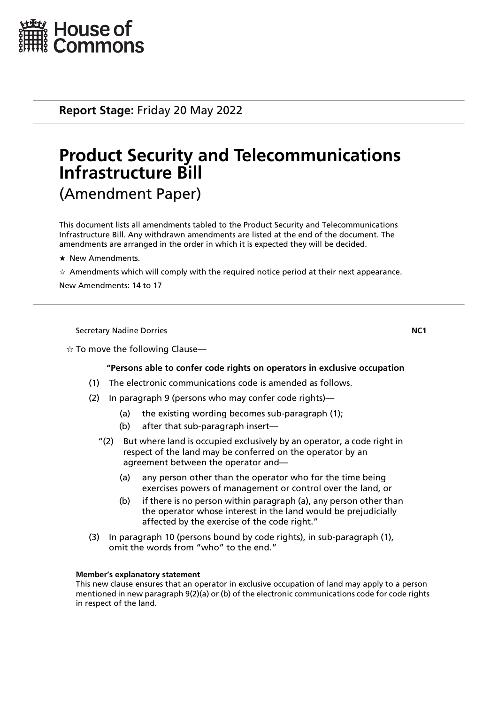

**Report Stage:** Friday 20 May 2022

# **Product Security and Telecommunications Infrastructure Bill** (Amendment Paper)

This document lists all amendments tabled to the Product Security and Telecommunications Infrastructure Bill. Any withdrawn amendments are listed at the end of the document. The amendments are arranged in the order in which it is expected they will be decided.

- $\star$  New Amendments.
- $\star$  Amendments which will comply with the required notice period at their next appearance.

New Amendments: 14 to 17

Secretary Nadine Dorries **NC1**

# $\dot{\varphi}$  To move the following Clause—

# **"Persons able to confer code rights on operators in exclusive occupation**

- (1) The electronic communications code is amended as follows.
- (2) In paragraph 9 (persons who may confer code rights)—
	- (a) the existing wording becomes sub-paragraph (1);
	- (b) after that sub-paragraph insert—
	- "(2) But where land is occupied exclusively by an operator, a code right in respect of the land may be conferred on the operator by an agreement between the operator and—
		- (a) any person other than the operator who for the time being exercises powers of management or control over the land, or
		- (b) if there is no person within paragraph (a), any person other than the operator whose interest in the land would be prejudicially affected by the exercise of the code right."
- (3) In paragraph 10 (persons bound by code rights), in sub-paragraph (1), omit the words from "who" to the end."

# **Member's explanatory statement**

This new clause ensures that an operator in exclusive occupation of land may apply to a person mentioned in new paragraph 9(2)(a) or (b) of the electronic communications code for code rights in respect of the land.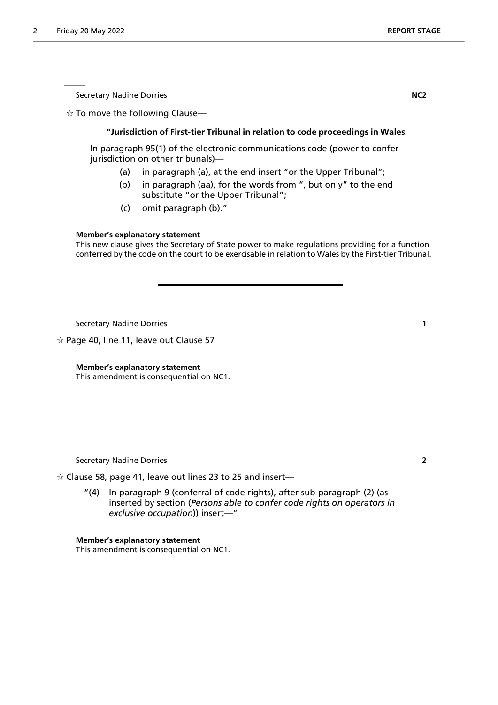Secretary Nadine Dorries **NC2** 

 $\dot{\mathbf{x}}$  To move the following Clause-

# **"Jurisdiction of First-tier Tribunal in relation to code proceedings in Wales**

In paragraph 95(1) of the electronic communications code (power to confer jurisdiction on other tribunals)—

- (a) in paragraph (a), at the end insert "or the Upper Tribunal";
- (b) in paragraph (aa), for the words from ", but only" to the end substitute "or the Upper Tribunal";
- (c) omit paragraph (b)."

# **Member's explanatory statement**

This new clause gives the Secretary of State power to make regulations providing for a function conferred by the code on the court to be exercisable in relation to Wales by the First-tier Tribunal.

Secretary Nadine Dorries **1**

 $\alpha$  Page 40, line 11, leave out Clause 57

**Member's explanatory statement** This amendment is consequential on NC1.

Secretary Nadine Dorries **2**

 $\dot{\varphi}$  Clause 58, page 41, leave out lines 23 to 25 and insert—

"(4) In paragraph 9 (conferral of code rights), after sub-paragraph (2) (as inserted by section (*Persons able to confer code rights on operators in exclusive occupation*)) insert—"

**Member's explanatory statement** This amendment is consequential on NC1.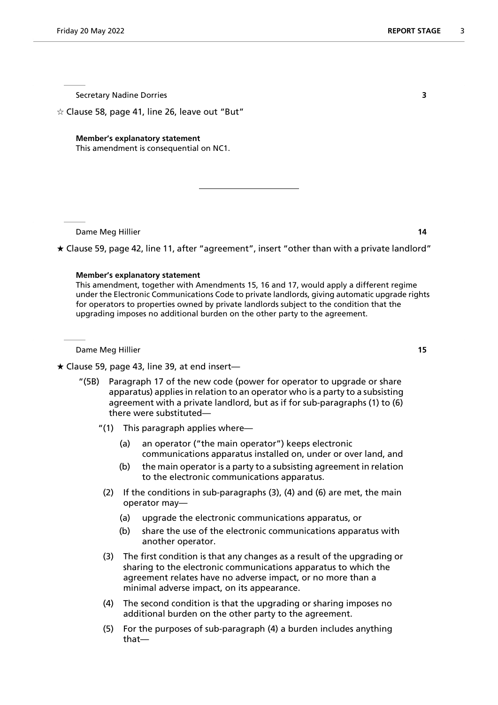Secretary Nadine Dorries **3**

 $\dot{\varphi}$  Clause 58, page 41, line 26, leave out "But"

#### **Member's explanatory statement**

This amendment is consequential on NC1.

Dame Meg Hillier **14**

 $\star$  Clause 59, page 42, line 11, after "agreement", insert "other than with a private landlord"

#### **Member's explanatory statement**

This amendment, together with Amendments 15, 16 and 17, would apply a different regime under the Electronic Communications Code to private landlords, giving automatic upgrade rights for operators to properties owned by private landlords subject to the condition that the upgrading imposes no additional burden on the other party to the agreement.

Dame Meg Hillier **15**

# $\star$  Clause 59, page 43, line 39, at end insert—

- "(5B) Paragraph 17 of the new code (power for operator to upgrade or share apparatus) applies in relation to an operator who is a party to a subsisting agreement with a private landlord, but as if for sub-paragraphs (1) to (6) there were substituted—
	- "(1) This paragraph applies where—
		- (a) an operator ("the main operator") keeps electronic communications apparatus installed on, under or over land, and
		- (b) the main operator is a party to a subsisting agreement in relation to the electronic communications apparatus.
	- (2) If the conditions in sub-paragraphs (3), (4) and (6) are met, the main operator may—
		- (a) upgrade the electronic communications apparatus, or
		- (b) share the use of the electronic communications apparatus with another operator.
	- (3) The first condition is that any changes as a result of the upgrading or sharing to the electronic communications apparatus to which the agreement relates have no adverse impact, or no more than a minimal adverse impact, on its appearance.
	- (4) The second condition is that the upgrading or sharing imposes no additional burden on the other party to the agreement.
	- (5) For the purposes of sub-paragraph (4) a burden includes anything that—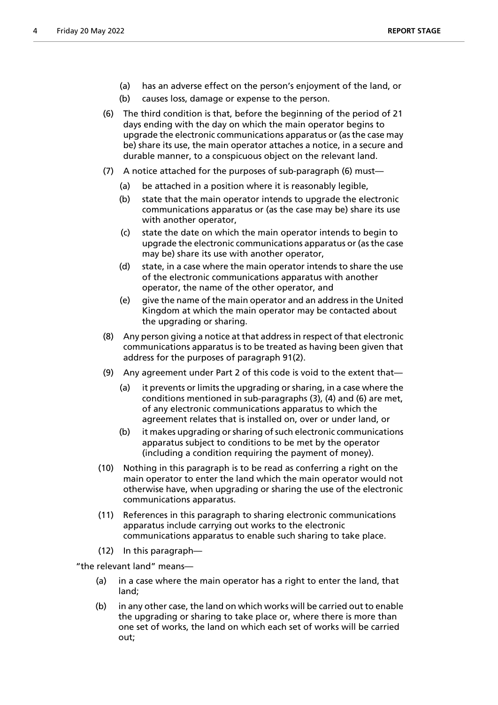- (a) has an adverse effect on the person's enjoyment of the land, or
- (b) causes loss, damage or expense to the person.
- (6) The third condition is that, before the beginning of the period of 21 days ending with the day on which the main operator begins to upgrade the electronic communications apparatus or (as the case may be) share its use, the main operator attaches a notice, in a secure and durable manner, to a conspicuous object on the relevant land.
- (7) A notice attached for the purposes of sub-paragraph (6) must—
	- (a) be attached in a position where it is reasonably legible,
	- (b) state that the main operator intends to upgrade the electronic communications apparatus or (as the case may be) share its use with another operator,
	- (c) state the date on which the main operator intends to begin to upgrade the electronic communications apparatus or (as the case may be) share its use with another operator,
	- (d) state, in a case where the main operator intends to share the use of the electronic communications apparatus with another operator, the name of the other operator, and
	- (e) give the name of the main operator and an address in the United Kingdom at which the main operator may be contacted about the upgrading or sharing.
- (8) Any person giving a notice at that address in respect of that electronic communications apparatus is to be treated as having been given that address for the purposes of paragraph 91(2).
- (9) Any agreement under Part 2 of this code is void to the extent that—
	- (a) it prevents or limits the upgrading or sharing, in a case where the conditions mentioned in sub-paragraphs (3), (4) and (6) are met, of any electronic communications apparatus to which the agreement relates that is installed on, over or under land, or
	- (b) it makes upgrading or sharing of such electronic communications apparatus subject to conditions to be met by the operator (including a condition requiring the payment of money).
- (10) Nothing in this paragraph is to be read as conferring a right on the main operator to enter the land which the main operator would not otherwise have, when upgrading or sharing the use of the electronic communications apparatus.
- (11) References in this paragraph to sharing electronic communications apparatus include carrying out works to the electronic communications apparatus to enable such sharing to take place.
- (12) In this paragraph—

"the relevant land" means—

- (a) in a case where the main operator has a right to enter the land, that land;
- (b) in any other case, the land on which works will be carried out to enable the upgrading or sharing to take place or, where there is more than one set of works, the land on which each set of works will be carried out;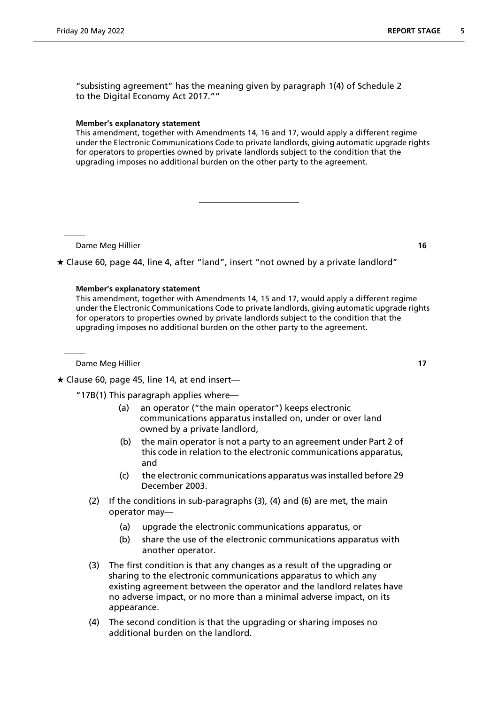"subsisting agreement" has the meaning given by paragraph 1(4) of Schedule 2 to the Digital Economy Act 2017.""

# **Member's explanatory statement**

This amendment, together with Amendments 14, 16 and 17, would apply a different regime under the Electronic Communications Code to private landlords, giving automatic upgrade rights for operators to properties owned by private landlords subject to the condition that the upgrading imposes no additional burden on the other party to the agreement.

Dame Meg Hillier **16**

Clause 60, page 44, line 4, after "land", insert "not owned by a private landlord"

# **Member's explanatory statement**

This amendment, together with Amendments 14, 15 and 17, would apply a different regime under the Electronic Communications Code to private landlords, giving automatic upgrade rights for operators to properties owned by private landlords subject to the condition that the upgrading imposes no additional burden on the other party to the agreement.

Dame Meg Hillier **17**

 $\star$  Clause 60, page 45, line 14, at end insert-

"17B(1) This paragraph applies where—

- (a) an operator ("the main operator") keeps electronic communications apparatus installed on, under or over land owned by a private landlord,
- (b) the main operator is not a party to an agreement under Part 2 of this code in relation to the electronic communications apparatus, and
- (c) the electronic communications apparatus was installed before 29 December 2003.
- (2) If the conditions in sub-paragraphs (3), (4) and (6) are met, the main operator may—
	- (a) upgrade the electronic communications apparatus, or
	- (b) share the use of the electronic communications apparatus with another operator.
- (3) The first condition is that any changes as a result of the upgrading or sharing to the electronic communications apparatus to which any existing agreement between the operator and the landlord relates have no adverse impact, or no more than a minimal adverse impact, on its appearance.
- (4) The second condition is that the upgrading or sharing imposes no additional burden on the landlord.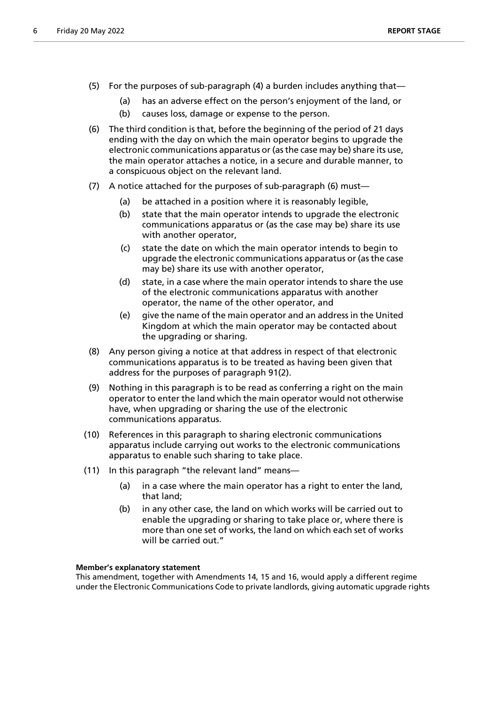- (5) For the purposes of sub-paragraph (4) a burden includes anything that—
	- (a) has an adverse effect on the person's enjoyment of the land, or
	- (b) causes loss, damage or expense to the person.
- (6) The third condition is that, before the beginning of the period of 21 days ending with the day on which the main operator begins to upgrade the electronic communications apparatus or (as the case may be) share its use, the main operator attaches a notice, in a secure and durable manner, to a conspicuous object on the relevant land.
- (7) A notice attached for the purposes of sub-paragraph (6) must—
	- (a) be attached in a position where it is reasonably legible,
	- (b) state that the main operator intends to upgrade the electronic communications apparatus or (as the case may be) share its use with another operator,
	- (c) state the date on which the main operator intends to begin to upgrade the electronic communications apparatus or (as the case may be) share its use with another operator,
	- (d) state, in a case where the main operator intends to share the use of the electronic communications apparatus with another operator, the name of the other operator, and
	- (e) give the name of the main operator and an address in the United Kingdom at which the main operator may be contacted about the upgrading or sharing.
- (8) Any person giving a notice at that address in respect of that electronic communications apparatus is to be treated as having been given that address for the purposes of paragraph 91(2).
- (9) Nothing in this paragraph is to be read as conferring a right on the main operator to enter the land which the main operator would not otherwise have, when upgrading or sharing the use of the electronic communications apparatus.
- (10) References in this paragraph to sharing electronic communications apparatus include carrying out works to the electronic communications apparatus to enable such sharing to take place.
- (11) In this paragraph "the relevant land" means—
	- (a) in a case where the main operator has a right to enter the land, that land;
	- (b) in any other case, the land on which works will be carried out to enable the upgrading or sharing to take place or, where there is more than one set of works, the land on which each set of works will be carried out."

#### **Member's explanatory statement**

This amendment, together with Amendments 14, 15 and 16, would apply a different regime under the Electronic Communications Code to private landlords, giving automatic upgrade rights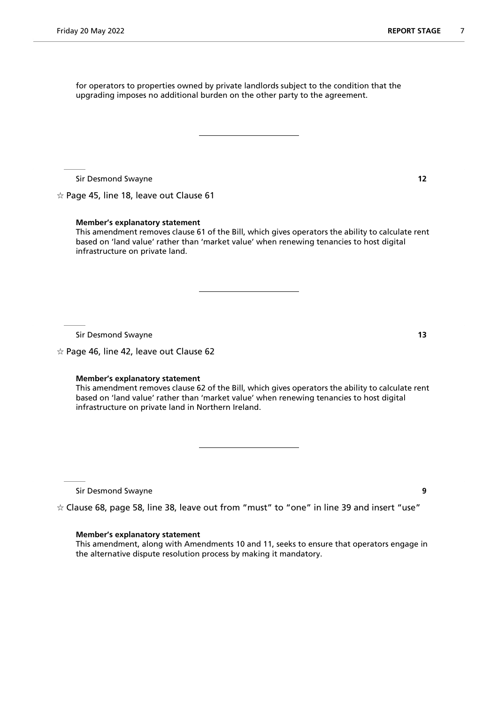for operators to properties owned by private landlords subject to the condition that the upgrading imposes no additional burden on the other party to the agreement.

Sir Desmond Swayne **12**

 $\hat{x}$  Page 45, line 18, leave out Clause 61

**Member's explanatory statement**

This amendment removes clause 61 of the Bill, which gives operators the ability to calculate rent based on 'land value' rather than 'market value' when renewing tenancies to host digital infrastructure on private land.

Sir Desmond Swayne **13**

 $\hat{\varphi}$  Page 46, line 42, leave out Clause 62

#### **Member's explanatory statement**

This amendment removes clause 62 of the Bill, which gives operators the ability to calculate rent based on 'land value' rather than 'market value' when renewing tenancies to host digital infrastructure on private land in Northern Ireland.

Sir Desmond Swayne **9**

 $\dot{\varphi}$  Clause 68, page 58, line 38, leave out from "must" to "one" in line 39 and insert "use"

#### **Member's explanatory statement**

This amendment, along with Amendments 10 and 11, seeks to ensure that operators engage in the alternative dispute resolution process by making it mandatory.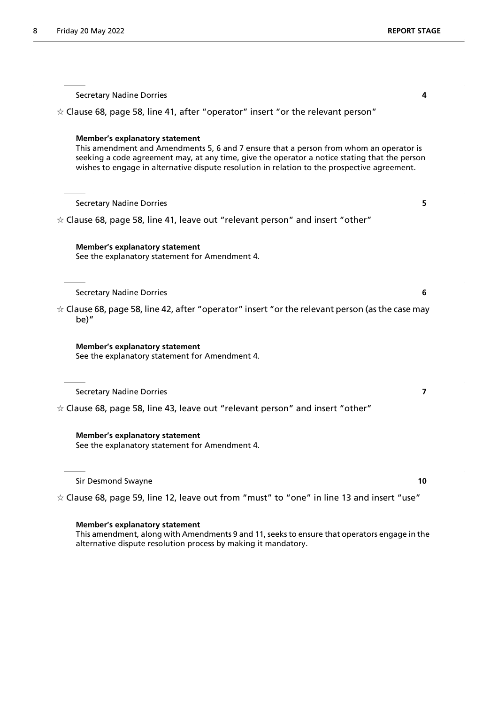Secretary Nadine Dorries **4**  $\dot{\varphi}$  Clause 68, page 58, line 41, after "operator" insert "or the relevant person" **Member's explanatory statement** This amendment and Amendments 5, 6 and 7 ensure that a person from whom an operator is seeking a code agreement may, at any time, give the operator a notice stating that the person wishes to engage in alternative dispute resolution in relation to the prospective agreement. Secretary Nadine Dorries **5**  $\dot{\varphi}$  Clause 68, page 58, line 41, leave out "relevant person" and insert "other" **Member's explanatory statement** See the explanatory statement for Amendment 4. Secretary Nadine Dorries **6**  $\dot{\varphi}$  Clause 68, page 58, line 42, after "operator" insert "or the relevant person (as the case may be)" **Member's explanatory statement** See the explanatory statement for Amendment 4. Secretary Nadine Dorries **7**  $\dot{\varphi}$  Clause 68, page 58, line 43, leave out "relevant person" and insert "other" **Member's explanatory statement** See the explanatory statement for Amendment 4.

Sir Desmond Swayne **10**

 $\dot{\varphi}$  Clause 68, page 59, line 12, leave out from "must" to "one" in line 13 and insert "use"

#### **Member's explanatory statement**

This amendment, along with Amendments 9 and 11, seeks to ensure that operators engage in the alternative dispute resolution process by making it mandatory.